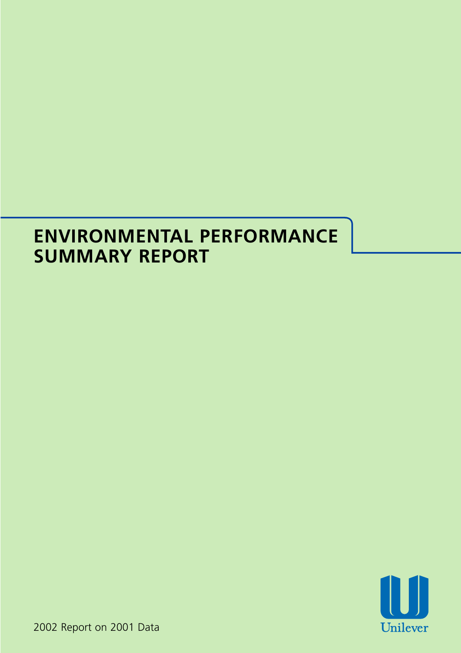# **ENVIRONMENTAL PERFORMANCE SUMMARY REPORT**



2002 Report on 2001 Data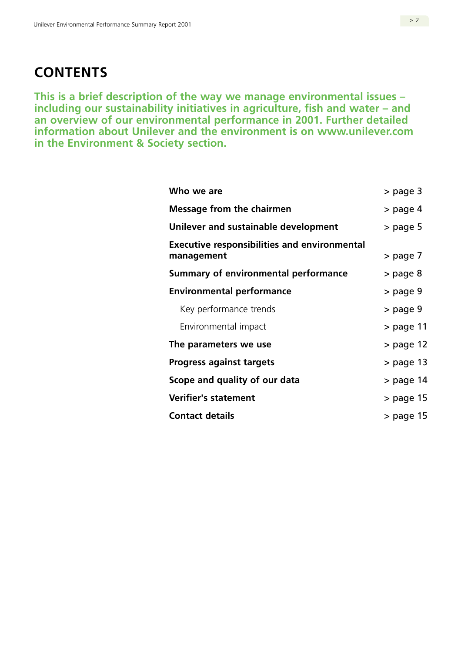# **CONTENTS**

**This is a brief description of the way we manage environmental issues – including our sustainability initiatives in agriculture, fish and water – and an overview of our environmental performance in 2001. Further detailed information about Unilever and the environment is on www.unilever.com in the Environment & Society section.** 

| Who we are                                                        | > page 3    |
|-------------------------------------------------------------------|-------------|
| <b>Message from the chairmen</b>                                  | > page 4    |
| Unilever and sustainable development                              | $>$ page 5  |
| <b>Executive responsibilities and environmental</b><br>management | > page 7    |
| Summary of environmental performance                              | > page 8    |
| <b>Environmental performance</b>                                  | > page 9    |
| Key performance trends                                            | > page 9    |
| Environmental impact                                              | > page 11   |
| The parameters we use                                             | > page 12   |
| <b>Progress against targets</b>                                   | $>$ page 13 |
| Scope and quality of our data                                     | > page 14   |
| <b>Verifier's statement</b>                                       | > page 15   |
| <b>Contact details</b>                                            | > page 15   |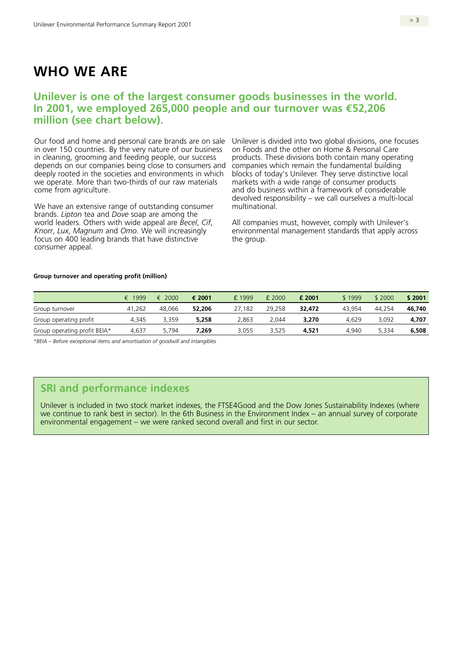# **WHO WE ARE**

## **Unilever is one of the largest consumer goods businesses in the world. In 2001, we employed 265,000 people and our turnover was €52,206 million (see chart below).**

Our food and home and personal care brands are on sale Unilever is divided into two global divisions, one focuses in over 150 countries. By the very nature of our business in cleaning, grooming and feeding people, our success depends on our companies being close to consumers and deeply rooted in the societies and environments in which we operate. More than two-thirds of our raw materials come from agriculture.

We have an extensive range of outstanding consumer brands. *Lipton* tea and *Dove* soap are among the world leaders. Others with wide appeal are *Becel*, *Cif*, *Knorr*, *Lux*, *Magnum* and *Omo*. We will increasingly focus on 400 leading brands that have distinctive consumer appeal.

on Foods and the other on Home & Personal Care products. These divisions both contain many operating companies which remain the fundamental building blocks of today's Unilever. They serve distinctive local markets with a wide range of consumer products and do business within a framework of considerable devolved responsibility – we call ourselves a multi-local multinational.

All companies must, however, comply with Unilever's environmental management standards that apply across the group.

#### **Group turnover and operating profit (million)**

|                              | € 1999 | $\epsilon$ 2000 | € 2001 | £1999  | £ 2000 | £ 2001 | \$1999 | \$2000 | \$2001 |
|------------------------------|--------|-----------------|--------|--------|--------|--------|--------|--------|--------|
| Group turnover               | 41,262 | 48.066          | 52,206 | 27,182 | 29,258 | 32,472 | 43.954 | 44.254 | 46.740 |
| Group operating profit       | 4.345  | 3.359           | 5.258  | 2.863  | 2.044  | 3,270  | 4.629  | 3.092  | 4,707  |
| Group operating profit BEIA* | 4,637  | 5.794           | 7.269  | 3,055  | 3.525  | 4.521  | 4.940  | 5.334  | 6,508  |

*\*BEIA – Before exceptional items and amortisation of goodwill and intangibles* 

## **SRI and performance indexes**

Unilever is included in two stock market indexes, the FTSE4Good and the Dow Jones Sustainability Indexes (where we continue to rank best in sector). In the 6th Business in the Environment Index – an annual survey of corporate environmental engagement – we were ranked second overall and first in our sector.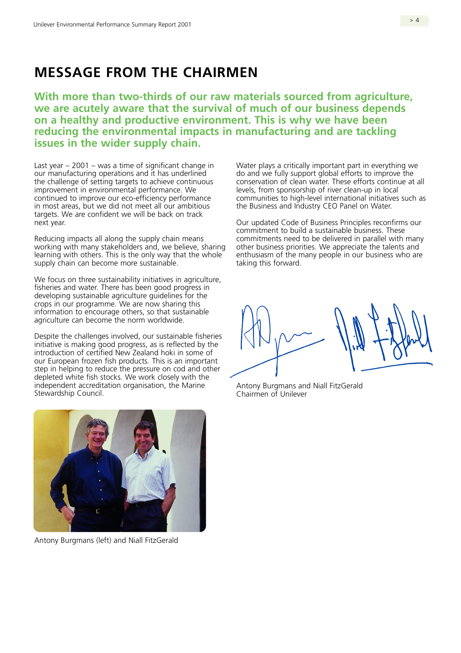# **MESSAGE FROM THE CHAIRMEN**

**With more than two-thirds of our raw materials sourced from agriculture, we are acutely aware that the survival of much of our business depends on a healthy and productive environment. This is why we have been reducing the environmental impacts in manufacturing and are tackling issues in the wider supply chain.** 

Last year  $-2001 - \text{was}}$  a time of significant change in our manufacturing operations and it has underlined the challenge of setting targets to achieve continuous improvement in environmental performance. We continued to improve our eco-efficiency performance in most areas, but we did not meet all our ambitious targets. We are confident we will be back on track next year.

Reducing impacts all along the supply chain means working with many stakeholders and, we believe, sharing learning with others. This is the only way that the whole supply chain can become more sustainable.

We focus on three sustainability initiatives in agriculture, fisheries and water. There has been good progress in developing sustainable agriculture guidelines for the crops in our programme. We are now sharing this information to encourage others, so that sustainable agriculture can become the norm worldwide.

Despite the challenges involved, our sustainable fisheries initiative is making good progress, as is reflected by the introduction of certified New Zealand hoki in some of our European frozen fish products. This is an important step in helping to reduce the pressure on cod and other depleted white fish stocks. We work closely with the independent accreditation organisation, the Marine Stewardship Council.

Water plays a critically important part in everything we do and we fully support global efforts to improve the conservation of clean water. These efforts continue at all levels, from sponsorship of river clean-up in local communities to high-level international initiatives such as the Business and Industry CEO Panel on Water.

Our updated Code of Business Principles reconfirms our commitment to build a sustainable business. These commitments need to be delivered in parallel with many other business priorities. We appreciate the talents and enthusiasm of the many people in our business who are taking this forward.

Antony Burgmans and Niall FitzGerald Chairmen of Unilever



Antony Burgmans (left) and Niall FitzGerald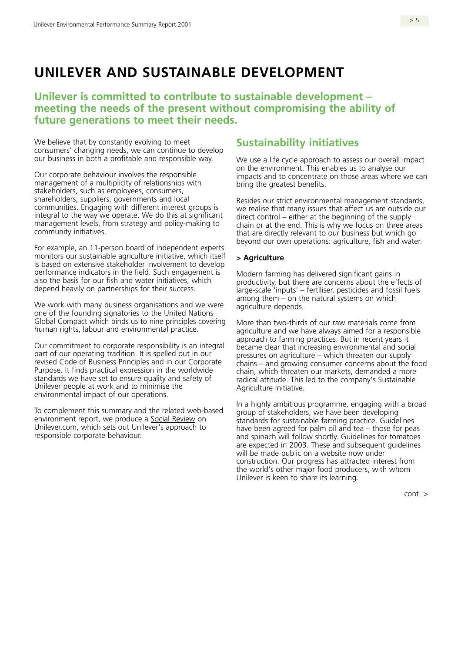# **UNILEVER AND SUSTAINABLE DEVELOPMENT**

## **Unilever is committed to contribute to sustainable development – meeting the needs of the present without compromising the ability of future generations to meet their needs.**

We believe that by constantly evolving to meet consumers' changing needs, we can continue to develop our business in both a profitable and responsible way.

Our corporate behaviour involves the responsible management of a multiplicity of relationships with stakeholders, such as employees, consumers, shareholders, suppliers, governments and local communities. Engaging with different interest groups is integral to the way we operate. We do this at significant management levels, from strategy and policy-making to community initiatives.

For example, an 11-person board of independent experts monitors our sustainable agriculture initiative, which itself is based on extensive stakeholder involvement to develop performance indicators in the field. Such engagement is also the basis for our fish and water initiatives, which depend heavily on partnerships for their success.

We work with many business organisations and we were one of the founding signatories to the United Nations Global Compact which binds us to nine principles covering human rights, labour and environmental practice.

Our commitment to corporate responsibility is an integral part of our operating tradition. It is spelled out in our revised Code of Business Principles and in our Corporate Purpose. It finds practical expression in the worldwide standards we have set to ensure quality and safety of Unilever people at work and to minimise the environmental impact of our operations.

To complement this summary and the related web-based environment report, we produce a [Social Review o](www.unilever.com/environmentsociety/society/socialreview/)n Unilever.com, which sets out Unilever's approach to responsible corporate behaviour.

## **Sustainability initiatives**

We use a life cycle approach to assess our overall impact on the environment. This enables us to analyse our impacts and to concentrate on those areas where we can bring the greatest benefits.

Besides our strict environmental management standards, we realise that many issues that affect us are outside our direct control – either at the beginning of the supply chain or at the end. This is why we focus on three areas that are directly relevant to our business but which go beyond our own operations: agriculture, fish and water.

#### **> Agriculture**

Modern farming has delivered significant gains in productivity, but there are concerns about the effects of large-scale 'inputs' – fertiliser, pesticides and fossil fuels among them – on the natural systems on which agriculture depends.

More than two-thirds of our raw materials come from agriculture and we have always aimed for a responsible approach to farming practices. But in recent years it became clear that increasing environmental and social pressures on agriculture – which threaten our supply chains – and growing consumer concerns about the food chain, which threaten our markets, demanded a more radical attitude. This led to the company's Sustainable Agriculture Initiative.

In a highly ambitious programme, engaging with a broad group of stakeholders, we have been developing standards for sustainable farming practice. Guidelines have been agreed for palm oil and tea – those for peas and spinach will follow shortly. Guidelines for tomatoes are expected in 2003. These and subsequent guidelines will be made public on a website now under construction. Our progress has attracted interest from the world's other major food producers, with whom Unilever is keen to share its learning.

cont. >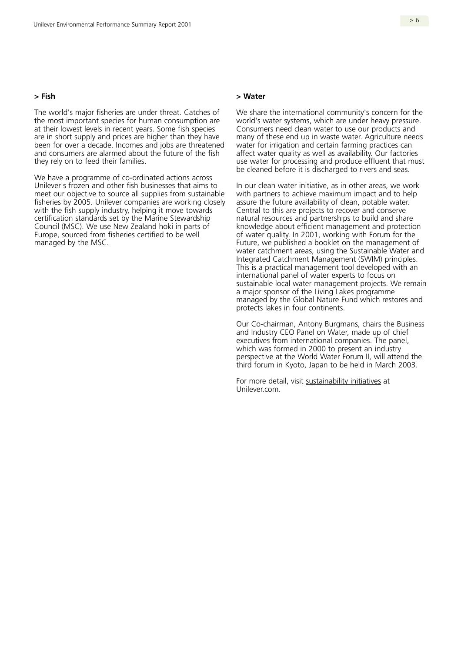#### **> Fish**

The world's major fisheries are under threat. Catches of the most important species for human consumption are at their lowest levels in recent years. Some fish species are in short supply and prices are higher than they have been for over a decade. Incomes and jobs are threatened and consumers are alarmed about the future of the fish they rely on to feed their families.

We have a programme of co-ordinated actions across Unilever's frozen and other fish businesses that aims to meet our objective to source all supplies from sustainable fisheries by 2005. Unilever companies are working closely with the fish supply industry, helping it move towards certification standards set by the Marine Stewardship Council (MSC). We use New Zealand hoki in parts of Europe, sourced from fisheries certified to be well managed by the MSC.

#### **> Water**

We share the international community's concern for the world's water systems, which are under heavy pressure. Consumers need clean water to use our products and many of these end up in waste water. Agriculture needs water for irrigation and certain farming practices can affect water quality as well as availability. Our factories use water for processing and produce effluent that must be cleaned before it is discharged to rivers and seas.

In our clean water initiative, as in other areas, we work with partners to achieve maximum impact and to help assure the future availability of clean, potable water. Central to this are projects to recover and conserve natural resources and partnerships to build and share knowledge about efficient management and protection of water quality. In 2001, working with Forum for the Future, we published a booklet on the management of water catchment areas, using the Sustainable Water and Integrated Catchment Management (SWIM) principles. This is a practical management tool developed with an international panel of water experts to focus on sustainable local water management projects. We remain a major sponsor of the Living Lakes programme managed by the Global Nature Fund which restores and protects lakes in four continents.

Our Co-chairman, Antony Burgmans, chairs the Business and Industry CEO Panel on Water, made up of chief executives from international companies. The panel, which was formed in 2000 to present an industry perspective at the World Water Forum II, will attend the third forum in Kyoto, Japan to be held in March 2003.

For more detail, visit [sustainability initiatives a](www.unilever.com/environmentsociety/sustainabilityinitiatives/)t Unilever.com.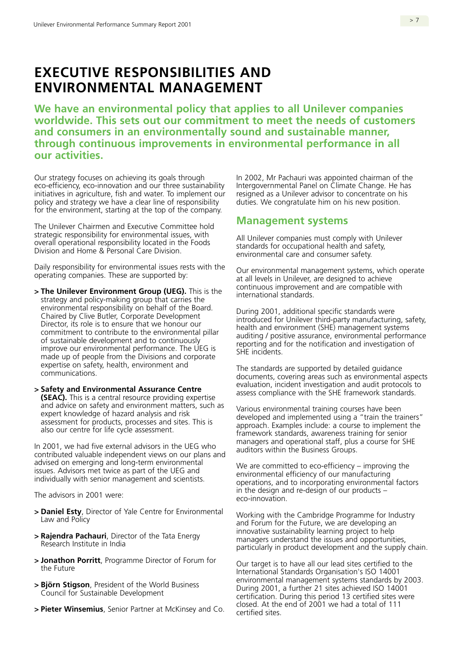# **EXECUTIVE RESPONSIBILITIES AND ENVIRONMENTAL MANAGEMENT**

**We have an environmental policy that applies to all Unilever companies worldwide. This sets out our commitment to meet the needs of customers and consumers in an environmentally sound and sustainable manner, through continuous improvements in environmental performance in all our activities.** 

Our strategy focuses on achieving its goals through eco-efficiency, eco-innovation and our three sustainability initiatives in agriculture, fish and water. To implement our policy and strategy we have a clear line of responsibility for the environment, starting at the top of the company.

The Unilever Chairmen and Executive Committee hold strategic responsibility for environmental issues, with overall operational responsibility located in the Foods Division and Home & Personal Care Division.

Daily responsibility for environmental issues rests with the operating companies. These are supported by:

- **> The Unilever Environment Group (UEG).** This is the strategy and policy-making group that carries the environmental responsibility on behalf of the Board. Chaired by Clive Butler, Corporate Development Director, its role is to ensure that we honour our commitment to contribute to the environmental pillar of sustainable development and to continuously improve our environmental performance. The UEG is made up of people from the Divisions and corporate expertise on safety, health, environment and communications.
- **> Safety and Environmental Assurance Centre (SEAC).** This is a central resource providing expertise and advice on safety and environment matters, such as expert knowledge of hazard analysis and risk assessment for products, processes and sites. This is also our centre for life cycle assessment.

In 2001, we had five external advisors in the UEG who contributed valuable independent views on our plans and advised on emerging and long-term environmental issues. Advisors met twice as part of the UEG and individually with senior management and scientists.

The advisors in 2001 were:

- **> Daniel Esty**, Director of Yale Centre for Environmental Law and Policy
- **> Rajendra Pachauri**, Director of the Tata Energy Research Institute in India
- **> Jonathon Porritt**, Programme Director of Forum for the Future
- **> Björn Stigson**, President of the World Business Council for Sustainable Development
- **> Pieter Winsemius**, Senior Partner at McKinsey and Co.

In 2002, Mr Pachauri was appointed chairman of the Intergovernmental Panel on Climate Change. He has resigned as a Unilever advisor to concentrate on his duties. We congratulate him on his new position.

### **Management systems**

All Unilever companies must comply with Unilever standards for occupational health and safety, environmental care and consumer safety.

Our environmental management systems, which operate at all levels in Unilever, are designed to achieve continuous improvement and are compatible with international standards.

During 2001, additional specific standards were introduced for Unilever third-party manufacturing, safety, health and environment (SHE) management systems auditing / positive assurance, environmental performance reporting and for the notification and investigation of SHE incidents.

The standards are supported by detailed guidance documents, covering areas such as environmental aspects evaluation, incident investigation and audit protocols to assess compliance with the SHE framework standards.

Various environmental training courses have been developed and implemented using a "train the trainers" approach. Examples include: a course to implement the framework standards, awareness training for senior managers and operational staff, plus a course for SHE auditors within the Business Groups.

We are committed to eco-efficiency – improving the environmental efficiency of our manufacturing operations, and to incorporating environmental factors in the design and re-design of our products – eco-innovation.

Working with the Cambridge Programme for Industry and Forum for the Future, we are developing an innovative sustainability learning project to help managers understand the issues and opportunities, particularly in product development and the supply chain.

Our target is to have all our lead sites certified to the International Standards Organisation's ISO 14001 environmental management systems standards by 2003. During 2001, a further 21 sites achieved ISO 14001 certification. During this period 13 certified sites were closed. At the end of 2001 we had a total of 111 certified sites.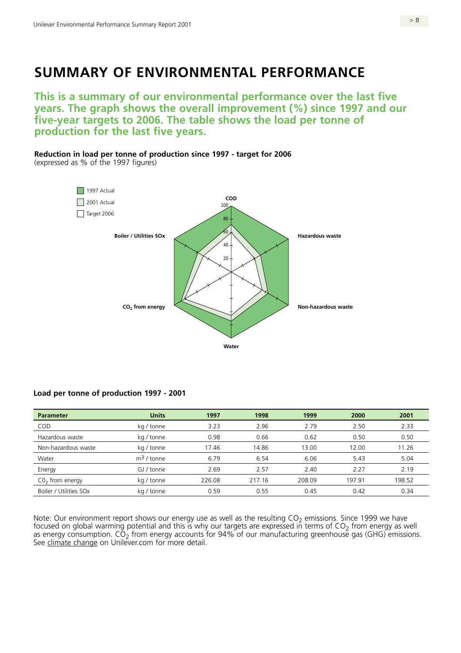# **SUMMARY OF ENVIRONMENTAL PERFORMANCE**

**This is a summary of our environmental performance over the last five years. The graph shows the overall improvement (%) since 1997 and our five-year targets to 2006. The table shows the load per tonne of production for the last five years.** 

**Reduction in load per tonne of production since 1997 - target for 2006** 

(expressed as % of the 1997 figures)



#### **Load per tonne of production 1997 - 2001**

| <b>Parameter</b>       | <b>Units</b> | 1997   | 1998   | 1999   | 2000   | 2001   |
|------------------------|--------------|--------|--------|--------|--------|--------|
| <b>COD</b>             | kg / tonne   | 3.23   | 2.96   | 2.79   | 2.50   | 2.33   |
| Hazardous waste        | kg / tonne   | 0.98   | 0.66   | 0.62   | 0.50   | 0.50   |
| Non-hazardous waste    | kg / tonne   | 17.46  | 14.86  | 13.00  | 12.00  | 11.26  |
| Water                  | $m3$ / tonne | 6.79   | 6.54   | 6.06   | 5.43   | 5.04   |
| Energy                 | GJ / tonne   | 2.69   | 2.57   | 2.40   | 2.27   | 2.19   |
| $CO2$ from energy      | kg / tonne   | 226.08 | 217.16 | 208.09 | 197.91 | 198.52 |
| Boiler / Utilities SOx | kg / tonne   | 0.59   | 0.55   | 0.45   | 0.42   | 0.34   |

Note: Our environment report shows our energy use as well as the resulting  $CO<sub>2</sub>$  emissions. Since 1999 we have focused on global warming potential and this is why our targets are expressed in terms of  $CO<sub>2</sub>$  from energy as well as energy consumption.  $CO<sub>2</sub>$  from energy accounts for 94% of our manufacturing greenhouse gas (GHG) emissions. See [climate change](www.unilever.com/environmentsociety/environmentalissues/climatechange/) on Unilever.com for more detail.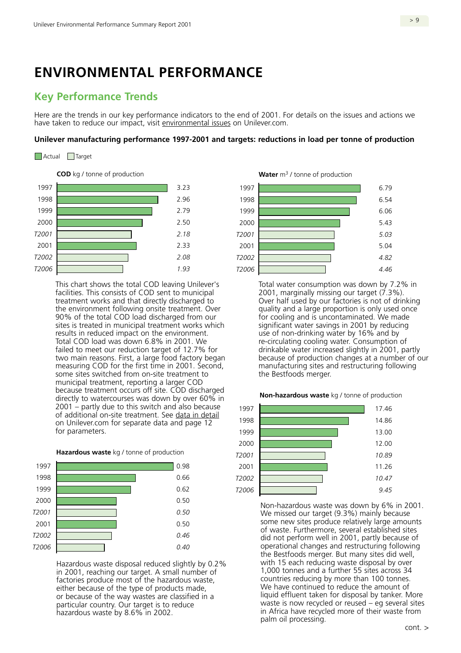## **ENVIRONMENTAL PERFORMANCE**

## **Key Performance Trends**

Here are the trends in our key performance indicators to the end of 2001. For details on the issues and actions we have taken to reduce our impact, visit [environmental issues](www.unilever.com/environmentsociety/environmentalissues/) on Unilever.com.

#### **Unilever manufacturing performance 1997-2001 and targets: reductions in load per tonne of production**

Actual <u>I</u>Target

**COD** kg / tonne of production **Water** m<sup>3</sup> / tonne of production



This chart shows the total COD leaving Unilever's Total water consumption was down by 7.2% in facilities. This consists of COD sent to municipal 2001, marginally missing our target (7.3%).<br>treatment works and that directly discharged to Deer half used by our factories is not of drin the environment following onsite treatment. Over quality and a large proportion is only used once 90% of the total COD load discharged from our for cooling and is uncontaminated. We made sites is treated in municipal treatment works which significant water savings in 2001 by reducing results in reduced impact on the environment. use of non-drinking water by 16% and by Total COD load was down 6.8% in 2001. We re-circulating cooling water. Consumption of failed to meet our reduction target of 12.7% for drinkable water increased slightly in 2001, partly two main reasons. First, a large food factory began because of production changes at a number of our measuring COD for the first time in 2001. Second, manufacturing sites and restructuring following some sites switched from on-site treatment to the Bestfoods merger. municipal treatment, reporting a larger COD because treatment occurs off site. COD discharged **Non-hazardous waste** kg / tonne of production directly to watercourses was down by over 60% in 2001 – partly due to this switch and also because  $1997$ of additional on-site treatment. See [data in detail](www.unilever.com/environmentsociety/environmentalperformance/dataindetail/)  or additional on-site treatment. See <u>data in detail</u> 1998<br>on Unilever.com for separate data and page 12 1998 for parameters. 1999 **13.00** 





in 2001, reaching our target. A small number of  $\frac{1}{000}$  tonnes and a further 55 sites across 34<br>factories produce most of the hazardous waste. Countries reducing by more than 100 tonnes. factories produce most of the hazardous waste,<br>
either because of the type of products made.<br>
We have continued to reduce the amount of either because of the type of products made,<br>
or because of the way wastes are classified in a or because of the way wastes are classified in a particular country. Our target is to reduce waste is now recycled or reused – eg several sites hazardous waste by 8.6% in 2002. in Same and the in Africa have recycled more of their waste from





Over half used by our factories is not of drinking



We missed our target (9.3%) mainly because the Bestfoods merger. But many sites did well, Hazardous waste disposal reduced slightly by 0.2% with 15 each reducing waste disposal by over<br>in 2001, reaching our target. A small number of and a further 55 sites across 34 palm oil processing.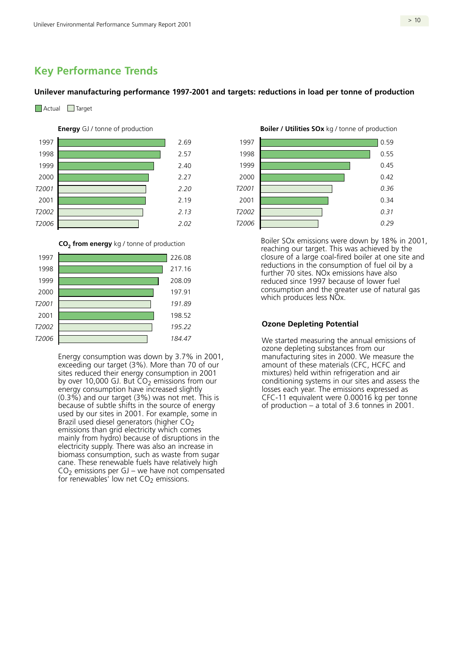## **Key Performance Trends**

#### **Unilever manufacturing performance 1997-2001 and targets: reductions in load per tonne of production**



#### **Energy** GJ / tonne of production





Energy consumption was down by 3.7% in 2001, exceeding our target (3%). More than 70 of our sites reduced their energy consumption in 2001 by over 10,000 GJ. But  $CO<sub>2</sub>$  emissions from our energy consumption have increased slightly (0.3%) and our target (3%) was not met. This is because of subtle shifts in the source of energy used by our sites in 2001. For example, some in Brazil used diesel generators (higher  $CO<sub>2</sub>$ emissions than grid electricity which comes mainly from hydro) because of disruptions in the electricity supply. There was also an increase in biomass consumption, such as waste from sugar cane. These renewable fuels have relatively high  $CO<sub>2</sub>$  emissions per GJ – we have not compensated for renewables' low net  $CO<sub>2</sub>$  emissions.

**Boiler / Utilities SOx** kg / tonne of production



Boiler SOx emissions were down by 18% in 2001, reaching our target. This was achieved by the closure of a large coal-fired boiler at one site and reductions in the consumption of fuel oil by a further 70 sites. NOx emissions have also reduced since 1997 because of lower fuel consumption and the greater use of natural gas which produces less NOx.

#### **Ozone Depleting Potential**

We started measuring the annual emissions of ozone depleting substances from our manufacturing sites in 2000. We measure the amount of these materials (CFC, HCFC and mixtures) held within refrigeration and air conditioning systems in our sites and assess the losses each year. The emissions expressed as CFC-11 equivalent were 0.00016 kg per tonne of production – a total of 3.6 tonnes in 2001.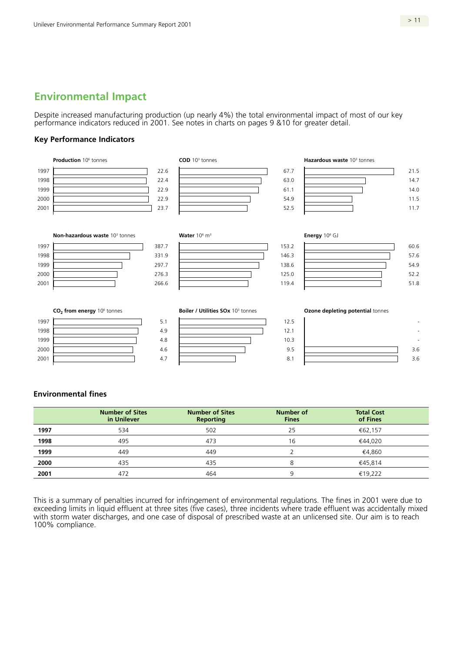## **Environmental Impact**

Despite increased manufacturing production (up nearly 4%) the total environmental impact of most of our key performance indicators reduced in 2001. See notes in charts on pages 9 &10 for greater detail.

#### **Key Performance Indicators**



#### **Environmental fines**

|      | <b>Number of Sites</b><br>in Unilever | <b>Number of Sites</b><br><b>Reporting</b> | <b>Number of</b><br><b>Fines</b> | <b>Total Cost</b><br>of Fines |  |
|------|---------------------------------------|--------------------------------------------|----------------------------------|-------------------------------|--|
| 1997 | 534                                   | 502                                        | 25                               | €62,157                       |  |
| 1998 | 495                                   | 473                                        | 16                               | €44,020                       |  |
| 1999 | 449                                   | 449                                        |                                  | €4,860                        |  |
| 2000 | 435                                   | 435                                        |                                  | €45.814                       |  |
| 2001 | 472                                   | 464                                        | a                                | €19,222                       |  |

This is a summary of penalties incurred for infringement of environmental regulations. The fines in 2001 were due to exceeding limits in liquid effluent at three sites (five cases), three incidents where trade effluent was accidentally mixed with storm water discharges, and one case of disposal of prescribed waste at an unlicensed site. Our aim is to reach 100% compliance.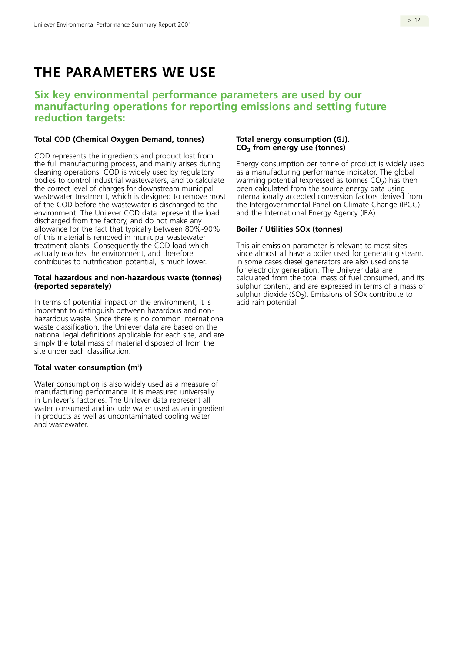# **THE PARAMETERS WE USE**

## **Six key environmental performance parameters are used by our manufacturing operations for reporting emissions and setting future reduction targets:**

#### **Total COD (Chemical Oxygen Demand, tonnes)**

COD represents the ingredients and product lost from the full manufacturing process, and mainly arises during cleaning operations. COD is widely used by regulatory bodies to control industrial wastewaters, and to calculate the correct level of charges for downstream municipal wastewater treatment, which is designed to remove most of the COD before the wastewater is discharged to the environment. The Unilever COD data represent the load discharged from the factory, and do not make any allowance for the fact that typically between 80%-90% of this material is removed in municipal wastewater treatment plants. Consequently the COD load which actually reaches the environment, and therefore contributes to nutrification potential, is much lower.

#### **Total hazardous and non-hazardous waste (tonnes) (reported separately)**

In terms of potential impact on the environment, it is important to distinguish between hazardous and nonhazardous waste. Since there is no common international waste classification, the Unilever data are based on the national legal definitions applicable for each site, and are simply the total mass of material disposed of from the site under each classification.

#### **Total water consumption (m3 )**

Water consumption is also widely used as a measure of manufacturing performance. It is measured universally in Unilever's factories. The Unilever data represent all water consumed and include water used as an ingredient in products as well as uncontaminated cooling water and wastewater.

#### **Total energy consumption (GJ). CO2 from energy use (tonnes)**

Energy consumption per tonne of product is widely used as a manufacturing performance indicator. The global warming potential (expressed as tonnes  $CO<sub>2</sub>$ ) has then been calculated from the source energy data using internationally accepted conversion factors derived from the Intergovernmental Panel on Climate Change (IPCC) and the International Energy Agency (IEA).

#### **Boiler / Utilities SOx (tonnes)**

This air emission parameter is relevant to most sites since almost all have a boiler used for generating steam. In some cases diesel generators are also used onsite for electricity generation. The Unilever data are calculated from the total mass of fuel consumed, and its sulphur content, and are expressed in terms of a mass of sulphur dioxide ( $SO<sub>2</sub>$ ). Emissions of SOx contribute to acid rain potential.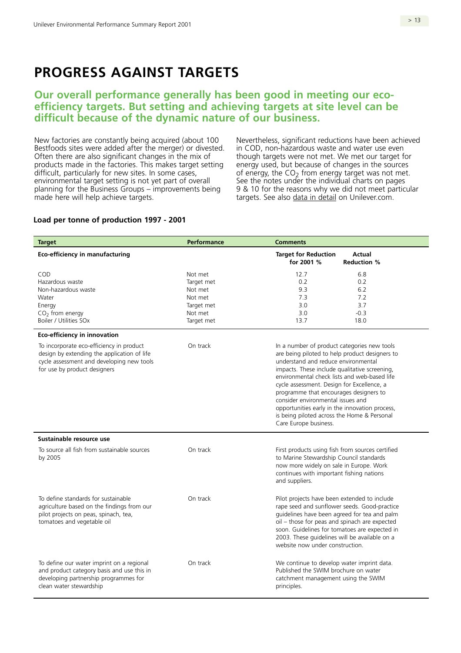# **PROGRESS AGAINST TARGETS**

## **Our overall performance generally has been good in meeting our ecoefficiency targets. But setting and achieving targets at site level can be difficult because of the dynamic nature of our business.**

New factories are constantly being acquired (about 100 Bestfoods sites were added after the merger) or divested. Often there are also significant changes in the mix of products made in the factories. This makes target setting difficult, particularly for new sites. In some cases, environmental target setting is not yet part of overall planning for the Business Groups – improvements being made here will help achieve targets.

Nevertheless, significant reductions have been achieved in COD, non-hazardous waste and water use even though targets were not met. We met our target for energy used, but because of changes in the sources of energy, the  $CO<sub>2</sub>$  from energy target was not met. See the notes under the individual charts on pages 9 & 10 for the reasons why we did not meet particular targets. See also [data in detail o](www.unilever.com/environmentsociety/environmentalperformance/dataindetail/)n Unilever.com.

#### **Load per tonne of production 1997 - 2001**

| <b>Target</b>                                                                                                                                                        | <b>Performance</b>                                                                 | <b>Comments</b>                                                                                                                                                                                                                                                                                                                                                                                                                                                                              |
|----------------------------------------------------------------------------------------------------------------------------------------------------------------------|------------------------------------------------------------------------------------|----------------------------------------------------------------------------------------------------------------------------------------------------------------------------------------------------------------------------------------------------------------------------------------------------------------------------------------------------------------------------------------------------------------------------------------------------------------------------------------------|
| <b>Eco-efficiency in manufacturing</b>                                                                                                                               |                                                                                    | <b>Target for Reduction</b><br>Actual<br>for 2001 %<br><b>Reduction %</b>                                                                                                                                                                                                                                                                                                                                                                                                                    |
| COD<br>Hazardous waste<br>Non-hazardous waste<br>Water<br>Energy<br>$CO2$ from energy<br><b>Boiler / Utilities SOx</b>                                               | Not met<br>Target met<br>Not met<br>Not met<br>Target met<br>Not met<br>Target met | 12.7<br>6.8<br>0.2<br>0.2<br>9.3<br>6.2<br>7.3<br>7.2<br>3.0<br>3.7<br>3.0<br>$-0.3$<br>13.7<br>18.0                                                                                                                                                                                                                                                                                                                                                                                         |
| <b>Eco-efficiency in innovation</b>                                                                                                                                  |                                                                                    |                                                                                                                                                                                                                                                                                                                                                                                                                                                                                              |
| To incorporate eco-efficiency in product<br>design by extending the application of life<br>cycle assessment and developing new tools<br>for use by product designers | On track                                                                           | In a number of product categories new tools<br>are being piloted to help product designers to<br>understand and reduce environmental<br>impacts. These include qualitative screening,<br>environmental check lists and web-based life<br>cycle assessment. Design for Excellence, a<br>programme that encourages designers to<br>consider environmental issues and<br>opportunities early in the innovation process,<br>is being piloted across the Home & Personal<br>Care Europe business. |
| Sustainable resource use                                                                                                                                             |                                                                                    |                                                                                                                                                                                                                                                                                                                                                                                                                                                                                              |
| To source all fish from sustainable sources<br>by 2005                                                                                                               | On track                                                                           | First products using fish from sources certified<br>to Marine Stewardship Council standards<br>now more widely on sale in Europe. Work<br>continues with important fishing nations<br>and suppliers.                                                                                                                                                                                                                                                                                         |
| To define standards for sustainable<br>agriculture based on the findings from our<br>pilot projects on peas, spinach, tea,<br>tomatoes and vegetable oil             | On track                                                                           | Pilot projects have been extended to include<br>rape seed and sunflower seeds. Good-practice<br>guidelines have been agreed for tea and palm<br>oil - those for peas and spinach are expected<br>soon. Guidelines for tomatoes are expected in<br>2003. These guidelines will be available on a<br>website now under construction.                                                                                                                                                           |
| To define our water imprint on a regional<br>and product category basis and use this in<br>developing partnership programmes for<br>clean water stewardship          | On track                                                                           | We continue to develop water imprint data.<br>Published the SWIM brochure on water<br>catchment management using the SWIM<br>principles.                                                                                                                                                                                                                                                                                                                                                     |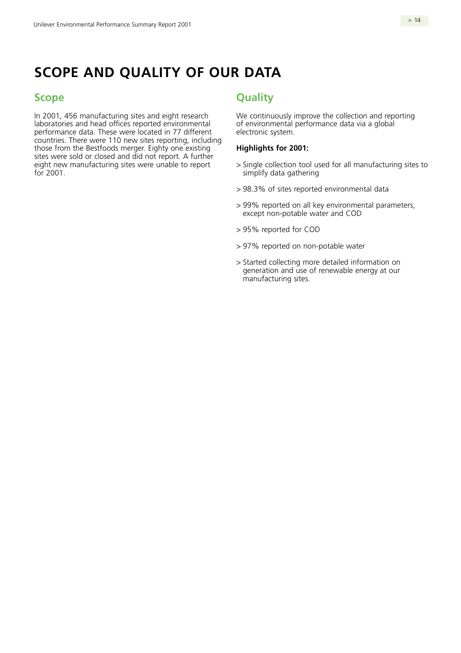# **SCOPE AND QUALITY OF OUR DATA**

## **Scope**

In 2001, 456 manufacturing sites and eight research laboratories and head offices reported environmental performance data. These were located in 77 different countries. There were 110 new sites reporting, including those from the Bestfoods merger. Eighty one existing sites were sold or closed and did not report. A further eight new manufacturing sites were unable to report for 2001.

## **Quality**

We continuously improve the collection and reporting of environmental performance data via a global electronic system.

#### **Highlights for 2001:**

- > Single collection tool used for all manufacturing sites to simplify data gathering
- > 98.3% of sites reported environmental data
- > 99% reported on all key environmental parameters, except non-potable water and COD
- > 95% reported for COD
- > 97% reported on non-potable water
- > Started collecting more detailed information on generation and use of renewable energy at our manufacturing sites.